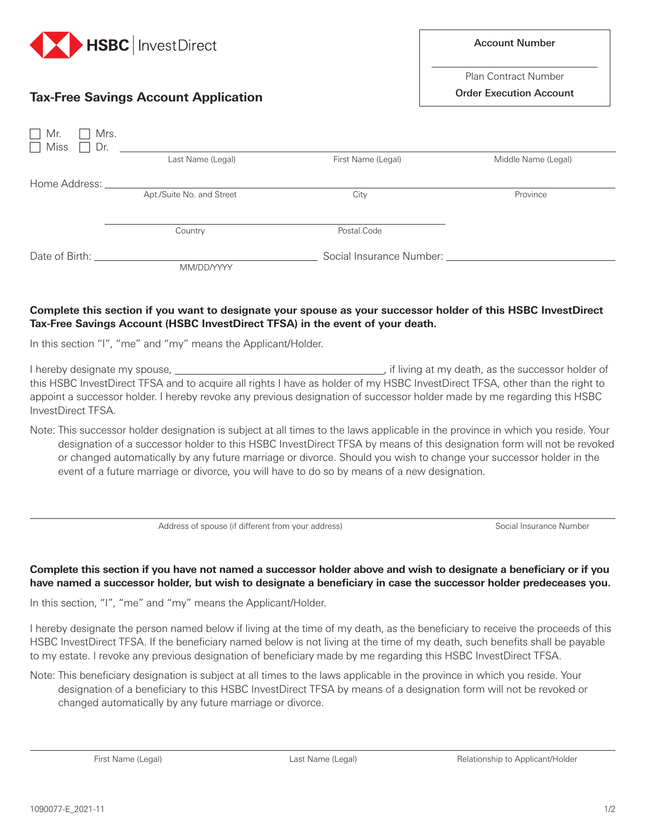

## **Tax-Free Savings Account Application**

| Account Number |  |
|----------------|--|
|                |  |

Plan Contract Number

Order Execution Account

| $\Box$ Mr.<br>Mrs.<br>$\Box$ Miss<br>$\Box$ Dr. |                           |                          |                     |
|-------------------------------------------------|---------------------------|--------------------------|---------------------|
|                                                 | Last Name (Legal)         | First Name (Legal)       | Middle Name (Legal) |
| Home Address:                                   |                           |                          |                     |
|                                                 | Apt./Suite No. and Street | City                     | Province            |
|                                                 |                           |                          |                     |
|                                                 | Country                   | Postal Code              |                     |
| Date of Birth:                                  |                           | Social Insurance Number: |                     |
|                                                 | MM/DD/YYYY                |                          |                     |

## **Complete this section if you want to designate your spouse as your successor holder of this HSBC InvestDirect Tax-Free Savings Account (HSBC InvestDirect TFSA) in the event of your death.**

In this section "I", "me" and "my" means the Applicant/Holder.

I hereby designate my spouse, , if living at my death, as the successor holder of this HSBC InvestDirect TFSA and to acquire all rights I have as holder of my HSBC InvestDirect TFSA, other than the right to appoint a successor holder. I hereby revoke any previous designation of successor holder made by me regarding this HSBC InvestDirect TFSA.

Note: This successor holder designation is subject at all times to the laws applicable in the province in which you reside. Your designation of a successor holder to this HSBC InvestDirect TFSA by means of this designation form will not be revoked or changed automatically by any future marriage or divorce. Should you wish to change your successor holder in the event of a future marriage or divorce, you will have to do so by means of a new designation.

Address of spouse (if different from your address) Social Insurance Number

## **Complete this section if you have not named a successor holder above and wish to designate a beneficiary or if you have named a successor holder, but wish to designate a beneficiary in case the successor holder predeceases you.**

In this section, "I", "me" and "my" means the Applicant/Holder.

I hereby designate the person named below if living at the time of my death, as the beneficiary to receive the proceeds of this HSBC InvestDirect TFSA. If the beneficiary named below is not living at the time of my death, such benefits shall be payable to my estate. I revoke any previous designation of beneficiary made by me regarding this HSBC InvestDirect TFSA.

Note: This beneficiary designation is subject at all times to the laws applicable in the province in which you reside. Your designation of a beneficiary to this HSBC InvestDirect TFSA by means of a designation form will not be revoked or changed automatically by any future marriage or divorce.